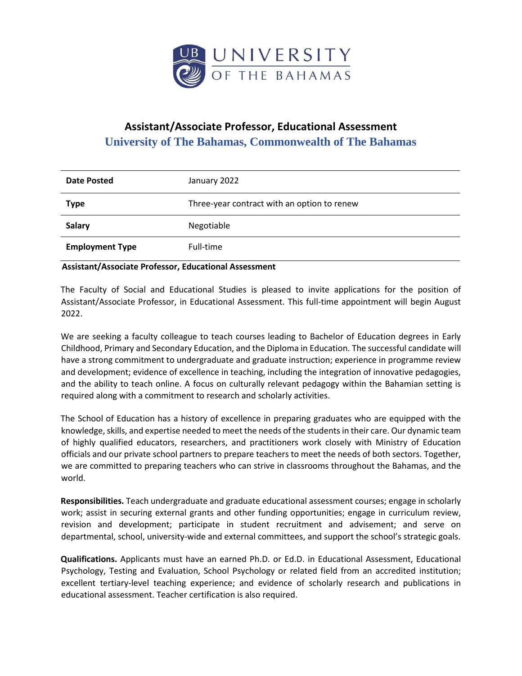

## **Assistant/Associate Professor, Educational Assessment University of The Bahamas, Commonwealth of The Bahamas**

| <b>Date Posted</b>     | January 2022                                |
|------------------------|---------------------------------------------|
| <b>Type</b>            | Three-year contract with an option to renew |
| <b>Salary</b>          | Negotiable                                  |
| <b>Employment Type</b> | Full-time                                   |

## **Assistant/Associate Professor, Educational Assessment**

The Faculty of Social and Educational Studies is pleased to invite applications for the position of Assistant/Associate Professor, in Educational Assessment. This full-time appointment will begin August 2022.

We are seeking a faculty colleague to teach courses leading to Bachelor of Education degrees in Early Childhood, Primary and Secondary Education, and the Diploma in Education. The successful candidate will have a strong commitment to undergraduate and graduate instruction; experience in programme review and development; evidence of excellence in teaching, including the integration of innovative pedagogies, and the ability to teach online. A focus on culturally relevant pedagogy within the Bahamian setting is required along with a commitment to research and scholarly activities.

The School of Education has a history of excellence in preparing graduates who are equipped with the knowledge, skills, and expertise needed to meet the needs of the students in their care. Our dynamic team of highly qualified educators, researchers, and practitioners work closely with Ministry of Education officials and our private school partners to prepare teachers to meet the needs of both sectors. Together, we are committed to preparing teachers who can strive in classrooms throughout the Bahamas, and the world.

**Responsibilities.** Teach undergraduate and graduate educational assessment courses; engage in scholarly work; assist in securing external grants and other funding opportunities; engage in curriculum review, revision and development; participate in student recruitment and advisement; and serve on departmental, school, university-wide and external committees, and support the school's strategic goals.

**Qualifications.** Applicants must have an earned Ph.D. or Ed.D. in Educational Assessment, Educational Psychology, Testing and Evaluation, School Psychology or related field from an accredited institution; excellent tertiary-level teaching experience; and evidence of scholarly research and publications in educational assessment. Teacher certification is also required.